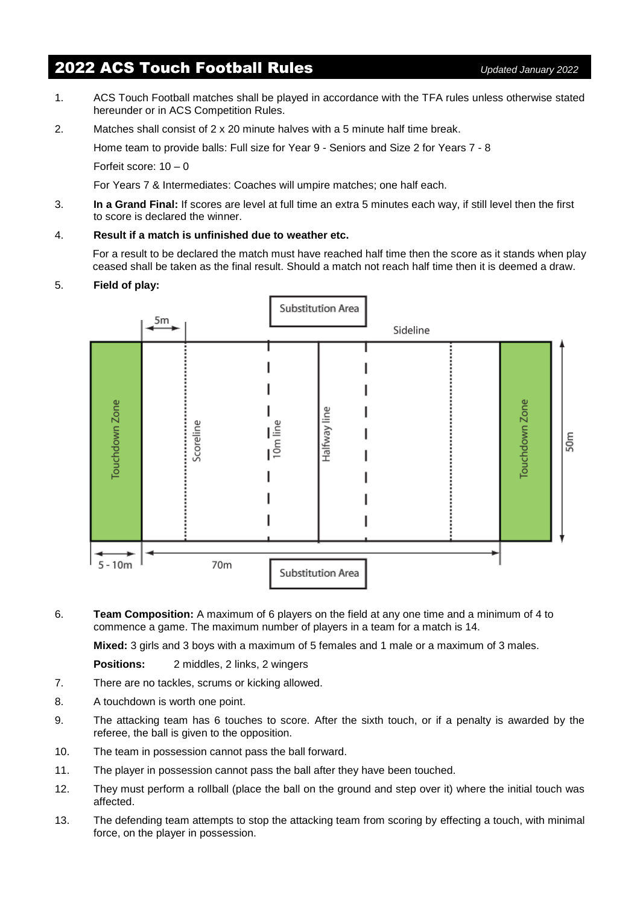# 2022 ACS Touch Football Rules *Updated January 2022*

- 
- 1. ACS Touch Football matches shall be played in accordance with the TFA rules unless otherwise stated hereunder or in ACS Competition Rules.
- 2. Matches shall consist of  $2 \times 20$  minute halves with a 5 minute half time break.

Home team to provide balls: Full size for Year 9 - Seniors and Size 2 for Years 7 - 8

Forfeit score: 10 – 0

For Years 7 & Intermediates: Coaches will umpire matches; one half each.

- 3. **In a Grand Final:** If scores are level at full time an extra 5 minutes each way, if still level then the first to score is declared the winner.
- 4. **Result if a match is unfinished due to weather etc.**

For a result to be declared the match must have reached half time then the score as it stands when play ceased shall be taken as the final result. Should a match not reach half time then it is deemed a draw.

## 5. **Field of play:**



6. **Team Composition:** A maximum of 6 players on the field at any one time and a minimum of 4 to commence a game. The maximum number of players in a team for a match is 14.

**Mixed:** 3 girls and 3 boys with a maximum of 5 females and 1 male or a maximum of 3 males.

**Positions:** 2 middles, 2 links, 2 wingers

- 7. There are no tackles, scrums or kicking allowed.
- 8. A touchdown is worth one point.
- 9. The attacking team has 6 touches to score. After the sixth touch, or if a penalty is awarded by the referee, the ball is given to the opposition.
- 10. The team in possession cannot pass the ball forward.
- 11. The player in possession cannot pass the ball after they have been touched.
- 12. They must perform a rollball (place the ball on the ground and step over it) where the initial touch was affected.
- 13. The defending team attempts to stop the attacking team from scoring by effecting a touch, with minimal force, on the player in possession.